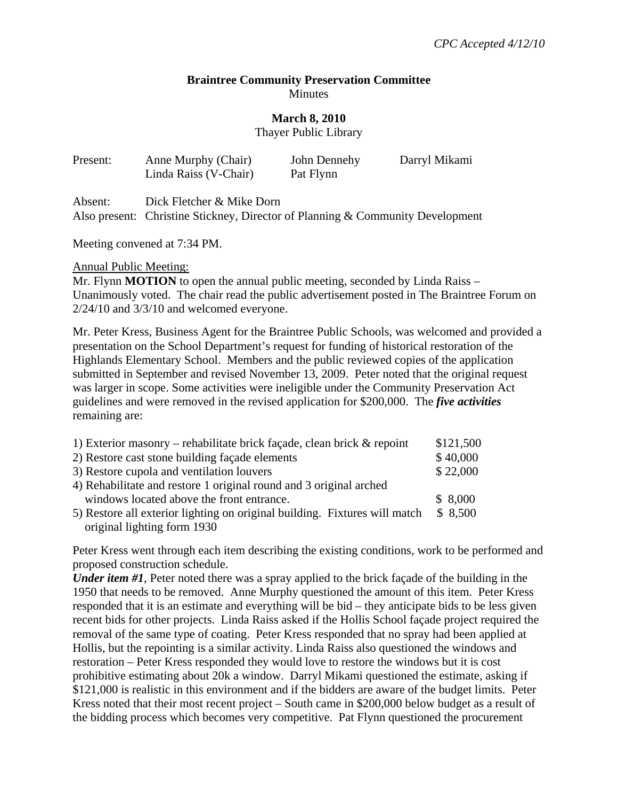## **Braintree Community Preservation Committee Minutes**

## **March 8, 2010**

Thayer Public Library

| Present: | Anne Murphy (Chair)<br>Linda Raiss (V-Chair) | John Dennehy<br>Pat Flynn | Darryl Mikami |
|----------|----------------------------------------------|---------------------------|---------------|
| Absent:  | Dick Fletcher & Mike Dorn                    |                           |               |

Also present: Christine Stickney, Director of Planning & Community Development

Meeting convened at 7:34 PM.

Annual Public Meeting:

Mr. Flynn **MOTION** to open the annual public meeting, seconded by Linda Raiss – Unanimously voted. The chair read the public advertisement posted in The Braintree Forum on 2/24/10 and 3/3/10 and welcomed everyone.

Mr. Peter Kress, Business Agent for the Braintree Public Schools, was welcomed and provided a presentation on the School Department's request for funding of historical restoration of the Highlands Elementary School. Members and the public reviewed copies of the application submitted in September and revised November 13, 2009. Peter noted that the original request was larger in scope. Some activities were ineligible under the Community Preservation Act guidelines and were removed in the revised application for \$200,000. The *five activities*  remaining are:

| 1) Exterior masonry – rehabilitate brick façade, clean brick $\&$ repoint  | \$121,500 |  |
|----------------------------------------------------------------------------|-----------|--|
| 2) Restore cast stone building façade elements                             | \$40,000  |  |
| 3) Restore cupola and ventilation louvers                                  |           |  |
| 4) Rehabilitate and restore 1 original round and 3 original arched         |           |  |
| windows located above the front entrance.                                  | \$8,000   |  |
| 5) Restore all exterior lighting on original building. Fixtures will match | \$8,500   |  |
| original lighting form 1930                                                |           |  |

Peter Kress went through each item describing the existing conditions, work to be performed and proposed construction schedule.

*Under item #1*, Peter noted there was a spray applied to the brick façade of the building in the 1950 that needs to be removed. Anne Murphy questioned the amount of this item. Peter Kress responded that it is an estimate and everything will be bid – they anticipate bids to be less given recent bids for other projects. Linda Raiss asked if the Hollis School façade project required the removal of the same type of coating. Peter Kress responded that no spray had been applied at Hollis, but the repointing is a similar activity. Linda Raiss also questioned the windows and restoration – Peter Kress responded they would love to restore the windows but it is cost prohibitive estimating about 20k a window. Darryl Mikami questioned the estimate, asking if \$121,000 is realistic in this environment and if the bidders are aware of the budget limits. Peter Kress noted that their most recent project – South came in \$200,000 below budget as a result of the bidding process which becomes very competitive. Pat Flynn questioned the procurement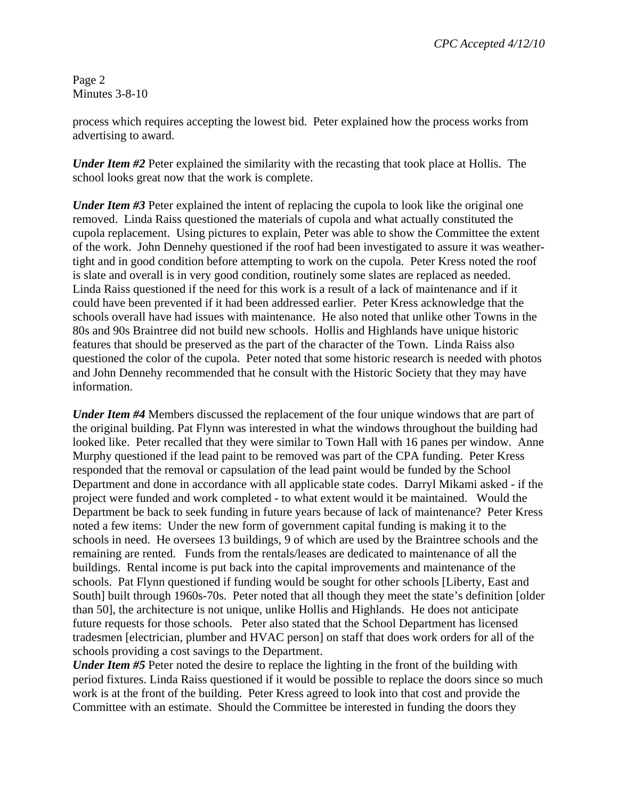Page 2 Minutes 3-8-10

process which requires accepting the lowest bid. Peter explained how the process works from advertising to award.

*Under Item #2* Peter explained the similarity with the recasting that took place at Hollis. The school looks great now that the work is complete.

*Under Item #3* Peter explained the intent of replacing the cupola to look like the original one removed. Linda Raiss questioned the materials of cupola and what actually constituted the cupola replacement. Using pictures to explain, Peter was able to show the Committee the extent of the work. John Dennehy questioned if the roof had been investigated to assure it was weathertight and in good condition before attempting to work on the cupola. Peter Kress noted the roof is slate and overall is in very good condition, routinely some slates are replaced as needed. Linda Raiss questioned if the need for this work is a result of a lack of maintenance and if it could have been prevented if it had been addressed earlier. Peter Kress acknowledge that the schools overall have had issues with maintenance. He also noted that unlike other Towns in the 80s and 90s Braintree did not build new schools. Hollis and Highlands have unique historic features that should be preserved as the part of the character of the Town. Linda Raiss also questioned the color of the cupola. Peter noted that some historic research is needed with photos and John Dennehy recommended that he consult with the Historic Society that they may have information.

*Under Item #4* Members discussed the replacement of the four unique windows that are part of the original building. Pat Flynn was interested in what the windows throughout the building had looked like. Peter recalled that they were similar to Town Hall with 16 panes per window. Anne Murphy questioned if the lead paint to be removed was part of the CPA funding. Peter Kress responded that the removal or capsulation of the lead paint would be funded by the School Department and done in accordance with all applicable state codes. Darryl Mikami asked - if the project were funded and work completed - to what extent would it be maintained. Would the Department be back to seek funding in future years because of lack of maintenance? Peter Kress noted a few items: Under the new form of government capital funding is making it to the schools in need. He oversees 13 buildings, 9 of which are used by the Braintree schools and the remaining are rented. Funds from the rentals/leases are dedicated to maintenance of all the buildings. Rental income is put back into the capital improvements and maintenance of the schools. Pat Flynn questioned if funding would be sought for other schools [Liberty, East and South] built through 1960s-70s. Peter noted that all though they meet the state's definition [older than 50], the architecture is not unique, unlike Hollis and Highlands. He does not anticipate future requests for those schools. Peter also stated that the School Department has licensed tradesmen [electrician, plumber and HVAC person] on staff that does work orders for all of the schools providing a cost savings to the Department.

*Under Item #5* Peter noted the desire to replace the lighting in the front of the building with period fixtures. Linda Raiss questioned if it would be possible to replace the doors since so much work is at the front of the building. Peter Kress agreed to look into that cost and provide the Committee with an estimate. Should the Committee be interested in funding the doors they